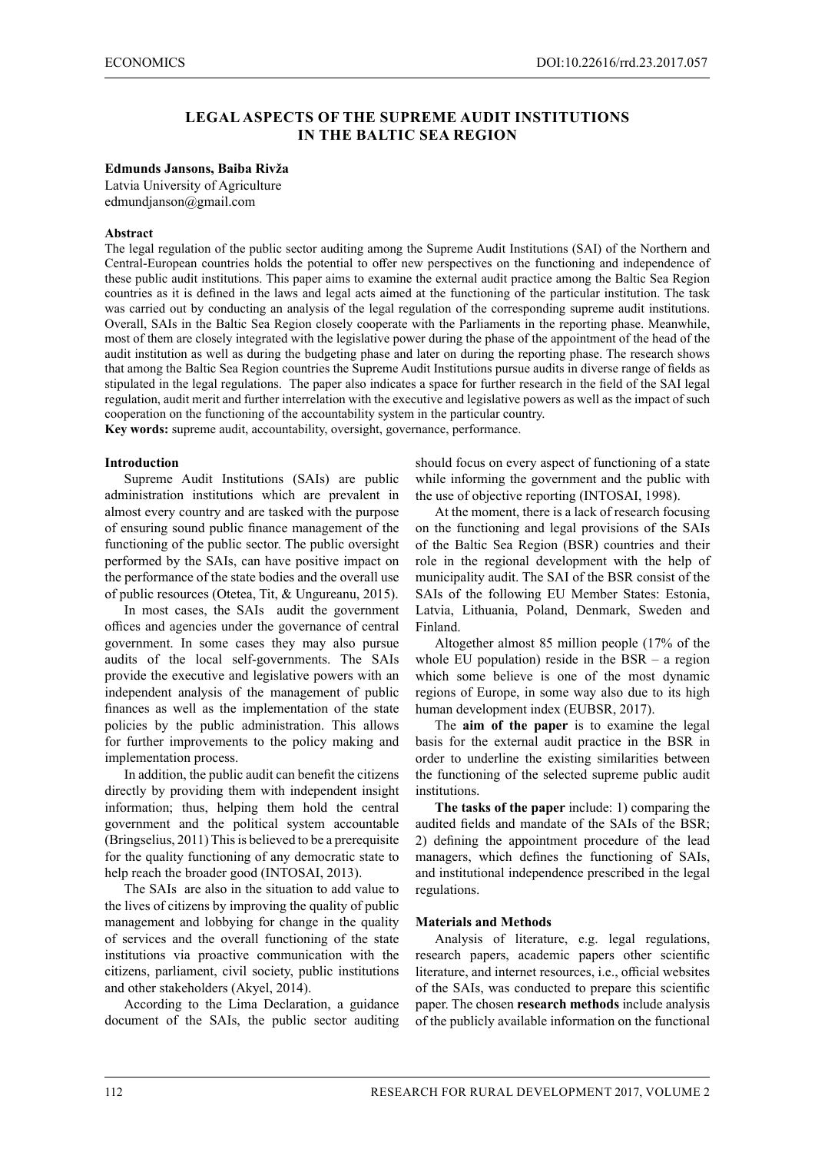# **LEGAL ASPECTS OF THE SUPREME AUDIT INSTITUTIONS IN THE BALTIC SEA REGION**

### **Edmunds Jansons, Baiba Rivža**

Latvia University of Agriculture edmundjanson@gmail.com

### **Abstract**

The legal regulation of the public sector auditing among the Supreme Audit Institutions (SAI) of the Northern and Central-European countries holds the potential to offer new perspectives on the functioning and independence of these public audit institutions. This paper aims to examine the external audit practice among the Baltic Sea Region countries as it is defined in the laws and legal acts aimed at the functioning of the particular institution. The task was carried out by conducting an analysis of the legal regulation of the corresponding supreme audit institutions. Overall, SAIs in the Baltic Sea Region closely cooperate with the Parliaments in the reporting phase. Meanwhile, most of them are closely integrated with the legislative power during the phase of the appointment of the head of the audit institution as well as during the budgeting phase and later on during the reporting phase. The research shows that among the Baltic Sea Region countries the Supreme Audit Institutions pursue audits in diverse range of fields as stipulated in the legal regulations. The paper also indicates a space for further research in the field of the SAI legal regulation, audit merit and further interrelation with the executive and legislative powers as well as the impact of such cooperation on the functioning of the accountability system in the particular country. **Key words:** supreme audit, accountability, oversight, governance, performance.

# **Introduction**

Supreme Audit Institutions (SAIs) are public administration institutions which are prevalent in almost every country and are tasked with the purpose of ensuring sound public finance management of the functioning of the public sector. The public oversight performed by the SAIs, can have positive impact on the performance of the state bodies and the overall use of public resources (Otetea, Tit, & Ungureanu, 2015).

In most cases, the SAIs audit the government offices and agencies under the governance of central government. In some cases they may also pursue audits of the local self-governments. The SAIs provide the executive and legislative powers with an independent analysis of the management of public finances as well as the implementation of the state policies by the public administration. This allows for further improvements to the policy making and implementation process.

In addition, the public audit can benefit the citizens directly by providing them with independent insight information; thus, helping them hold the central government and the political system accountable (Bringselius, 2011) This is believed to be a prerequisite for the quality functioning of any democratic state to help reach the broader good (INTOSAI, 2013).

The SAIs are also in the situation to add value to the lives of citizens by improving the quality of public management and lobbying for change in the quality of services and the overall functioning of the state institutions via proactive communication with the citizens, parliament, civil society, public institutions and other stakeholders (Akyel, 2014).

According to the Lima Declaration, a guidance document of the SAIs, the public sector auditing should focus on every aspect of functioning of a state while informing the government and the public with the use of objective reporting (INTOSAI, 1998).

At the moment, there is a lack of research focusing on the functioning and legal provisions of the SAIs of the Baltic Sea Region (BSR) countries and their role in the regional development with the help of municipality audit. The SAI of the BSR consist of the SAIs of the following EU Member States: Estonia, Latvia, Lithuania, Poland, Denmark, Sweden and Finland.

Altogether almost 85 million people (17% of the whole EU population) reside in the BSR  $-$  a region which some believe is one of the most dynamic regions of Europe, in some way also due to its high human development index (EUBSR, 2017).

The **aim of the paper** is to examine the legal basis for the external audit practice in the BSR in order to underline the existing similarities between the functioning of the selected supreme public audit institutions.

**The tasks of the paper** include: 1) comparing the audited fields and mandate of the SAIs of the BSR; 2) defining the appointment procedure of the lead managers, which defines the functioning of SAIs, and institutional independence prescribed in the legal regulations.

### **Materials and Methods**

Analysis of literature, e.g. legal regulations, research papers, academic papers other scientific literature, and internet resources, i.e., official websites of the SAIs, was conducted to prepare this scientific paper. The chosen **research methods** include analysis of the publicly available information on the functional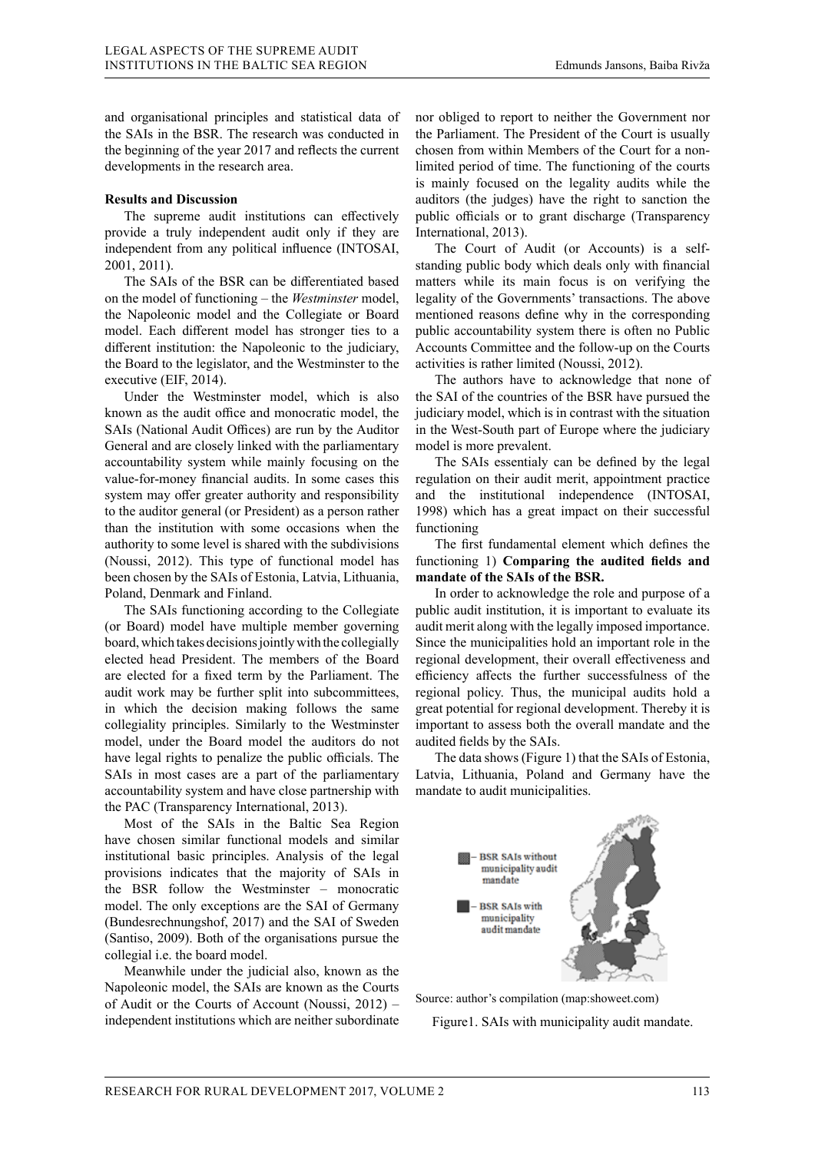and organisational principles and statistical data of the SAIs in the BSR. The research was conducted in the beginning of the year 2017 and reflects the current developments in the research area.

#### **Results and Discussion**

The supreme audit institutions can effectively provide a truly independent audit only if they are independent from any political influence (INTOSAI, 2001, 2011).

The SAIs of the BSR can be differentiated based on the model of functioning – the *Westminster* model, the Napoleonic model and the Collegiate or Board model. Each different model has stronger ties to a different institution: the Napoleonic to the judiciary, the Board to the legislator, and the Westminster to the executive (EIF, 2014).

Under the Westminster model, which is also known as the audit office and monocratic model, the j SAIs (National Audit Offices) are run by the Auditor General and are closely linked with the parliamentary r accountability system while mainly focusing on the value-for-money financial audits. In some cases this r system may offer greater authority and responsibility a to the auditor general (or President) as a person rather  $\frac{1}{10}$ than the institution with some occasions when the f authority to some level is shared with the subdivisions Matter of the Community of the Audit Office of the Audit Offices) and the Audit Offices of the Audit Offices of the Audit Offices been chosen by the SAIs of Estonia, Latvia, Lithuania, r Poland, Denmark and Finland. stminster model, which is also t  $\alpha$ uan, Om the name is not the Collegiate or  $\frac{1}{2}$ icial (UI i icsidell This type of functional model has the

and, Demility and Pintand.<br>The SAIs functioning according to the Collegiate (or Board) model have multiple member governing a board, which takes decisions jointly with the collegially  $\frac{1}{2}$ elected head President. The members of the Board r are elected for a fixed term by the Parliament. The audit work may be further split into subcommittees, results and  $\frac{1}{\sqrt{2}}$ in which the decision making follows the same collegiality principles. Similarly to the Westminster i model, under the Board model the auditors do not a have legal rights to penalize the public officials. The SAIs in most cases are a part of the parliamentary I accountability system and have close partnership with r the PAC (Transparency International, 2013). to the Collegiate according to the Collegiate and (Noussi, 2012). This type of functional model has be further spirt mo subcommutees, f  $\sum_{k=1}^{\infty}$  for a fixed term by the second term by the second term by the second term by the second term by the second term by the second term by the second term by the second term by the second term by the second term  $\cos$  are a part of the partiamentaly  $\sin$ 

Most of the SAIs in the Baltic Sea Region have chosen similar functional models and similar institutional basic principles. Analysis of the legal models and similar provisions indicates that the majority of SAIs in the BSR follow the Westminster – monocratic model. The only exceptions are the SAI of Germany (Bundesrechnungshof, 2017) and the SAI of Sweden (Bundesrechnungshof, 2017) and the SAI of Sweden (Santiso, 2009). Both of the organisations pursue the (Santiso, 2009). Both of the organisations pursue the collegial i.e. the board model. collegial i.e. the board model.  $\mathcal{P}$  says in the Banc sea Region ates that the majority of SAIs in exceptions are the SAI of Germany  $\alpha$  model.

Meanwhile under the judicial also, known as the Napoleonic model, the SAIs are known as the Courts of Audit or the Courts of Account (Noussi,  $2012$ ) – independent institutions which are neither subordinate Courts of Account (Noussi,  $2012$ ) –

nor obliged to report to neither the Government nor the Parliament. The President of the Court is usually chosen from within Members of the Court for a nonlimited period of time. The functioning of the courts is mainly focused on the legality audits while the auditors (the judges) have the right to sanction the public officials or to grant discharge (Transparency International, 2013).

The Court of Audit (or Accounts) is a selfstanding public body which deals only with financial matters while its main focus is on verifying the legality of the Governments' transactions. The above mentioned reasons define why in the corresponding public accountability system there is often no Public Accounts Committee and the follow-up on the Courts activities is rather limited (Noussi, 2012).

The authors have to acknowledge that none of the SAI of the countries of the BSR have pursued the judiciary model, which is in contrast with the situation in the West-South part of Europe where the judiciary model is more prevalent. discharge international, 2013). west-south part of Europe where the ju

The SAIs essentialy can be defined by the legal regulation on their audit merit, appointment practice and the institutional independence (INTOSAI, 1998) which has a great impact on their successful functioning status where the West-South part of Europe where the West-South part of Europe where the West-South part of Europe where the West-South part of Europe where the West-South part of Europe where the West-South pa  $\frac{1}{2}$   $\frac{1}{2}$   $\frac{1}{2}$   $\frac{1}{2}$   $\frac{1}{2}$   $\frac{1}{2}$   $\frac{1}{2}$   $\frac{1}{2}$   $\frac{1}{2}$   $\frac{1}{2}$   $\frac{1}{2}$   $\frac{1}{2}$   $\frac{1}{2}$   $\frac{1}{2}$   $\frac{1}{2}$   $\frac{1}{2}$   $\frac{1}{2}$   $\frac{1}{2}$   $\frac{1}{2}$   $\frac{1}{2}$   $\frac{1}{2}$   $\frac{1}{2}$  which has a great impact on their suc-

The first fundamental element which defines the functioning 1) **Comparing the audited fields and** mandate of the SAIs of the BSR. oning 1) **Comparing the audited her** 

In order to acknowledge the role and purpose of a public audit institution, it is important to evaluate its audit merit along with the legally imposed importance. Since the municipalities hold an important role in the regional development, their overall effectiveness and efficiency affects the further successfulness of the regional policy. Thus, the municipal audits hold a great potential for regional development. Thereby it is important to assess both the overall mandate and the audited fields by the SAIs.  $\frac{1}{1}$ C municipalities note an important for ial policy. Thus, the municipal addits  $\frac{10.11 \text{ J}}{10.11 \text{ J}} \times \frac{10.17}{10.17}$ 

The data shows (Figure 1) that the SAIs of Estonia, Latvia, Lithuania, Poland and Germany have the mandate to audit municipalities. Lituralities, Folding and Octinally the



Source: author's compilation (map:showeet.com)

 $T$  – SAIs – SAIs – SAIs of Denmark, SAIs – SAIs of Denmark, SAIs of Denmark, SAIs – SAIs – SAIs – SAIs – SAIs – SAIs – SAIs – SAIs – SAIs – SAIs – SAIs – SAIs – SAIs – SAIs – SAIs – SAIs – SAIs – SAIs – SAIs – SAIs – SAI Figure1. SAIs with municipality audit mandate.

municipalities as it is the case of Sweden and Finlands as it is the case of Sweden and Finlands and Finlands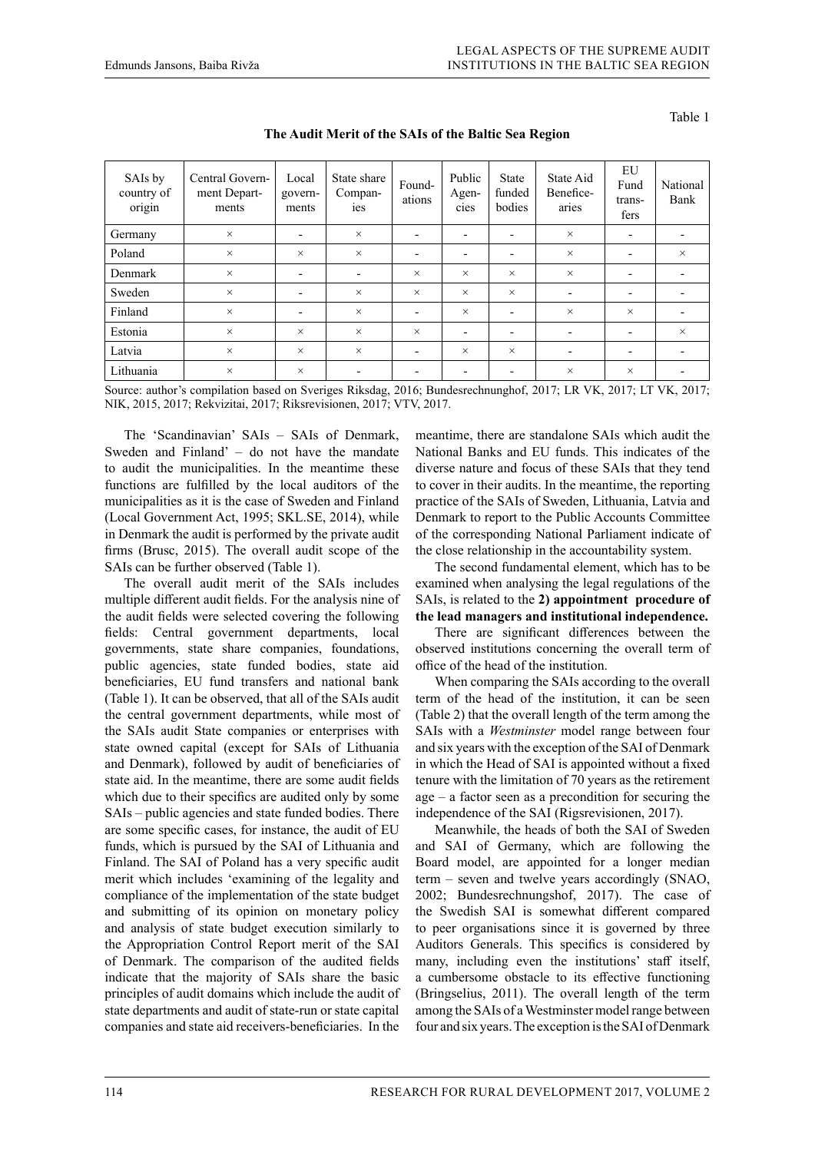Table 1

|  | The Audit Merit of the SAIs of the Baltic Sea Region |
|--|------------------------------------------------------|
|  |                                                      |

| SAIs by<br>country of<br>origin | Central Govern-<br>ment Depart-<br>ments | Local<br>govern-<br>ments | State share<br>Compan-<br>ies | Found-<br>ations         | Public<br>Agen-<br>cies  | <b>State</b><br>funded<br>bodies | State Aid<br>Benefice-<br>aries | EU<br>Fund<br>trans-<br>fers | National<br>Bank         |
|---------------------------------|------------------------------------------|---------------------------|-------------------------------|--------------------------|--------------------------|----------------------------------|---------------------------------|------------------------------|--------------------------|
| Germany                         | $\times$                                 | $\overline{\phantom{a}}$  | $\times$                      | $\overline{\phantom{a}}$ | $\overline{\phantom{a}}$ | $\overline{\phantom{a}}$         | $\times$                        | $\overline{\phantom{0}}$     | $\overline{\phantom{0}}$ |
| Poland                          | $\times$                                 | $\times$                  | $\times$                      | $\overline{\phantom{a}}$ | $\overline{\phantom{a}}$ | $\overline{\phantom{0}}$         | $\times$                        |                              | $\times$                 |
| Denmark                         | $\times$                                 | ٠                         | $\overline{\phantom{0}}$      | $\times$                 | $\times$                 | $\times$                         | $\times$                        |                              | $\overline{\phantom{0}}$ |
| Sweden                          | $\times$                                 | $\overline{\phantom{0}}$  | $\times$                      | $\times$                 | $\times$                 | $\times$                         | $\overline{\phantom{a}}$        | $\overline{\phantom{0}}$     |                          |
| Finland                         | $\times$                                 | $\overline{\phantom{0}}$  | $\times$                      | $\overline{\phantom{a}}$ | $\times$                 | $\overline{\phantom{0}}$         | $\times$                        | $\times$                     | $\overline{\phantom{0}}$ |
| Estonia                         | $\times$                                 | $\times$                  | $\times$                      | $\times$                 | $\overline{\phantom{a}}$ | $\overline{\phantom{a}}$         | $\overline{\phantom{a}}$        | $\overline{\phantom{0}}$     | $\times$                 |
| Latvia                          | $\times$                                 | $\times$                  | $\times$                      | $\overline{\phantom{a}}$ | $\times$                 | $\times$                         | $\overline{\phantom{0}}$        |                              |                          |
| Lithuania                       | $\times$                                 | $\times$                  |                               | $\overline{\phantom{a}}$ | $\overline{\phantom{a}}$ | $\overline{\phantom{a}}$         | $\times$                        | $\times$                     | $\overline{\phantom{0}}$ |

Source: author's compilation based on Sveriges Riksdag, 2016; Bundesrechnunghof, 2017; LR VK, 2017; LT VK, 2017; NIK, 2015, 2017; Rekvizitai, 2017; Riksrevisionen, 2017; VTV, 2017.

The 'Scandinavian' SAIs – SAIs of Denmark, Sweden and Finland' – do not have the mandate to audit the municipalities. In the meantime these functions are fulfilled by the local auditors of the municipalities as it is the case of Sweden and Finland (Local Government Act, 1995; SKL.SE, 2014), while in Denmark the audit is performed by the private audit firms (Brusc, 2015). The overall audit scope of the SAIs can be further observed (Table 1).

The overall audit merit of the SAIs includes multiple different audit fields. For the analysis nine of the audit fields were selected covering the following fields: Central government departments, local governments, state share companies, foundations, public agencies, state funded bodies, state aid beneficiaries, EU fund transfers and national bank (Table 1). It can be observed, that all of the SAIs audit the central government departments, while most of the SAIs audit State companies or enterprises with state owned capital (except for SAIs of Lithuania and Denmark), followed by audit of beneficiaries of state aid. In the meantime, there are some audit fields which due to their specifics are audited only by some SAIs – public agencies and state funded bodies. There are some specific cases, for instance, the audit of EU funds, which is pursued by the SAI of Lithuania and Finland. The SAI of Poland has a very specific audit merit which includes 'examining of the legality and compliance of the implementation of the state budget and submitting of its opinion on monetary policy and analysis of state budget execution similarly to the Appropriation Control Report merit of the SAI of Denmark. The comparison of the audited fields indicate that the majority of SAIs share the basic principles of audit domains which include the audit of state departments and audit of state-run or state capital companies and state aid receivers-beneficiaries. In the

meantime, there are standalone SAIs which audit the National Banks and EU funds. This indicates of the diverse nature and focus of these SAIs that they tend to cover in their audits. In the meantime, the reporting practice of the SAIs of Sweden, Lithuania, Latvia and Denmark to report to the Public Accounts Committee of the corresponding National Parliament indicate of the close relationship in the accountability system.

The second fundamental element, which has to be examined when analysing the legal regulations of the SAIs, is related to the **2) appointment procedure of the lead managers and institutional independence.**

There are significant differences between the observed institutions concerning the overall term of office of the head of the institution.

When comparing the SAIs according to the overall term of the head of the institution, it can be seen (Table 2) that the overall length of the term among the SAIs with a *Westminster* model range between four and six years with the exception of the SAI of Denmark in which the Head of SAI is appointed without a fixed tenure with the limitation of 70 years as the retirement age – a factor seen as a precondition for securing the independence of the SAI (Rigsrevisionen, 2017).

Meanwhile, the heads of both the SAI of Sweden and SAI of Germany, which are following the Board model, are appointed for a longer median term – seven and twelve years accordingly (SNAO, 2002; Bundesrechnungshof, 2017). The case of the Swedish SAI is somewhat different compared to peer organisations since it is governed by three Auditors Generals. This specifics is considered by many, including even the institutions' staff itself, a cumbersome obstacle to its effective functioning (Bringselius, 2011). The overall length of the term among the SAIs of a Westminster model range between four and six years. The exception is the SAI of Denmark

114 RESEARCH FOR RURAL DEVELOPMENT 2017, VOLUME 2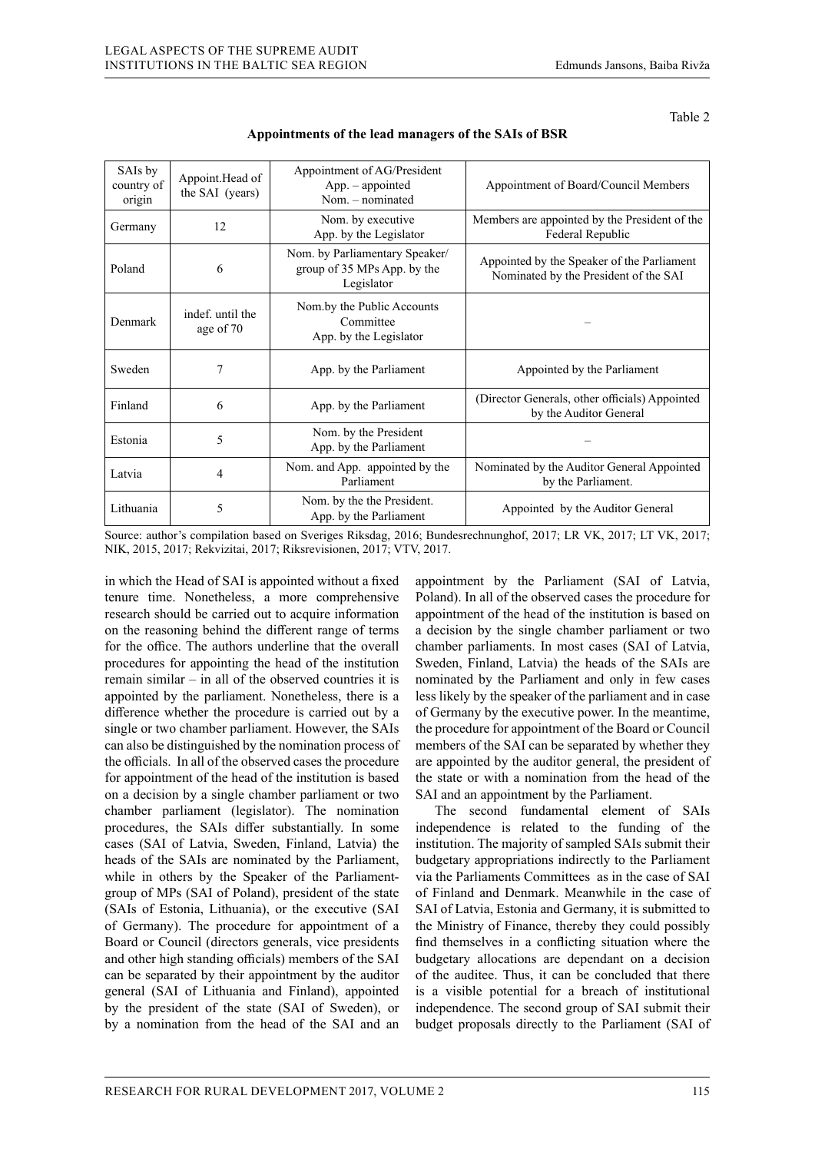| SAIs by<br>country of<br>origin | Appoint.Head of<br>the SAI (years) | Appointment of AG/President<br>$App. - appointed$<br>Nom. - nominated       | Appointment of Board/Council Members                                                |
|---------------------------------|------------------------------------|-----------------------------------------------------------------------------|-------------------------------------------------------------------------------------|
| Germany                         | 12                                 | Nom. by executive<br>App. by the Legislator                                 | Members are appointed by the President of the<br>Federal Republic                   |
| Poland                          | 6                                  | Nom. by Parliamentary Speaker/<br>group of 35 MPs App. by the<br>Legislator | Appointed by the Speaker of the Parliament<br>Nominated by the President of the SAI |
| Denmark                         | indef. until the<br>age of 70      | Nom.by the Public Accounts<br>Committee<br>App. by the Legislator           |                                                                                     |
| Sweden                          | 7                                  | App. by the Parliament                                                      | Appointed by the Parliament                                                         |
| Finland                         | 6                                  | App. by the Parliament                                                      | (Director Generals, other officials) Appointed<br>by the Auditor General            |
| Estonia                         | 5                                  | Nom. by the President<br>App. by the Parliament                             |                                                                                     |
| Latvia                          | 4                                  | Nom. and App. appointed by the<br>Parliament                                | Nominated by the Auditor General Appointed<br>by the Parliament.                    |
| Lithuania                       | 5                                  | Nom. by the the President.<br>App. by the Parliament                        | Appointed by the Auditor General                                                    |

### **Appointments of the lead managers of the SAIs of BSR**

Source: author's compilation based on Sveriges Riksdag, 2016; Bundesrechnunghof, 2017; LR VK, 2017; LT VK, 2017; NIK, 2015, 2017; Rekvizitai, 2017; Riksrevisionen, 2017; VTV, 2017.

in which the Head of SAI is appointed without a fixed tenure time. Nonetheless, a more comprehensive research should be carried out to acquire information on the reasoning behind the different range of terms for the office. The authors underline that the overall procedures for appointing the head of the institution remain similar – in all of the observed countries it is appointed by the parliament. Nonetheless, there is a difference whether the procedure is carried out by a single or two chamber parliament. However, the SAIs can also be distinguished by the nomination process of the officials. In all of the observed cases the procedure for appointment of the head of the institution is based on a decision by a single chamber parliament or two chamber parliament (legislator). The nomination procedures, the SAIs differ substantially. In some cases (SAI of Latvia, Sweden, Finland, Latvia) the heads of the SAIs are nominated by the Parliament, while in others by the Speaker of the Parliamentgroup of MPs (SAI of Poland), president of the state (SAIs of Estonia, Lithuania), or the executive (SAI of Germany). The procedure for appointment of a Board or Council (directors generals, vice presidents and other high standing officials) members of the SAI can be separated by their appointment by the auditor general (SAI of Lithuania and Finland), appointed by the president of the state (SAI of Sweden), or by a nomination from the head of the SAI and an

appointment by the Parliament (SAI of Latvia, Poland). In all of the observed cases the procedure for appointment of the head of the institution is based on a decision by the single chamber parliament or two chamber parliaments. In most cases (SAI of Latvia, Sweden, Finland, Latvia) the heads of the SAIs are nominated by the Parliament and only in few cases less likely by the speaker of the parliament and in case of Germany by the executive power. In the meantime, the procedure for appointment of the Board or Council members of the SAI can be separated by whether they are appointed by the auditor general, the president of the state or with a nomination from the head of the SAI and an appointment by the Parliament.

The second fundamental element of SAIs independence is related to the funding of the institution. The majority of sampled SAIs submit their budgetary appropriations indirectly to the Parliament via the Parliaments Committees as in the case of SAI of Finland and Denmark. Meanwhile in the case of SAI of Latvia, Estonia and Germany, it is submitted to the Ministry of Finance, thereby they could possibly find themselves in a conflicting situation where the budgetary allocations are dependant on a decision of the auditee. Thus, it can be concluded that there is a visible potential for a breach of institutional independence. The second group of SAI submit their budget proposals directly to the Parliament (SAI of

Table 2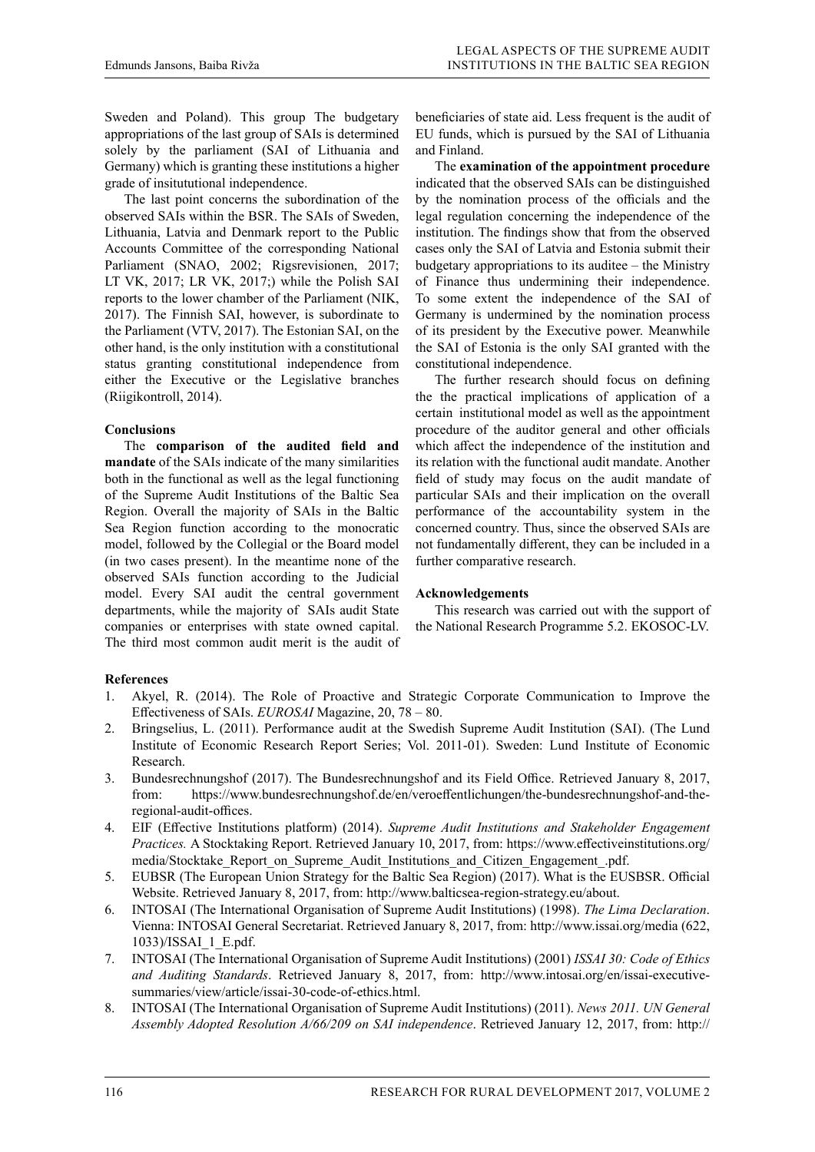Sweden and Poland). This group The budgetary appropriations of the last group of SAIs is determined solely by the parliament (SAI of Lithuania and Germany) which is granting these institutions a higher grade of insitututional independence.

The last point concerns the subordination of the observed SAIs within the BSR. The SAIs of Sweden, Lithuania, Latvia and Denmark report to the Public Accounts Committee of the corresponding National Parliament (SNAO, 2002; Rigsrevisionen, 2017; LT VK, 2017; LR VK, 2017;) while the Polish SAI reports to the lower chamber of the Parliament (NIK, 2017). The Finnish SAI, however, is subordinate to the Parliament (VTV, 2017). The Estonian SAI, on the other hand, is the only institution with a constitutional status granting constitutional independence from either the Executive or the Legislative branches (Riigikontroll, 2014).

# **Conclusions**

The **comparison of the audited field and mandate** of the SAIs indicate of the many similarities both in the functional as well as the legal functioning of the Supreme Audit Institutions of the Baltic Sea Region. Overall the majority of SAIs in the Baltic Sea Region function according to the monocratic model, followed by the Collegial or the Board model (in two cases present). In the meantime none of the observed SAIs function according to the Judicial model. Every SAI audit the central government departments, while the majority of SAIs audit State companies or enterprises with state owned capital. The third most common audit merit is the audit of

beneficiaries of state aid. Less frequent is the audit of EU funds, which is pursued by the SAI of Lithuania and Finland.

The **examination of the appointment procedure** indicated that the observed SAIs can be distinguished by the nomination process of the officials and the legal regulation concerning the independence of the institution. The findings show that from the observed cases only the SAI of Latvia and Estonia submit their budgetary appropriations to its auditee – the Ministry of Finance thus undermining their independence. To some extent the independence of the SAI of Germany is undermined by the nomination process of its president by the Executive power. Meanwhile the SAI of Estonia is the only SAI granted with the constitutional independence.

The further research should focus on defining the the practical implications of application of a certain institutional model as well as the appointment procedure of the auditor general and other officials which affect the independence of the institution and its relation with the functional audit mandate. Another field of study may focus on the audit mandate of particular SAIs and their implication on the overall performance of the accountability system in the concerned country. Thus, since the observed SAIs are not fundamentally different, they can be included in a further comparative research.

# **Acknowledgements**

This research was carried out with the support of the National Research Programme 5.2. EKOSOC-LV.

# **References**

- 1. Akyel, R. (2014). The Role of Proactive and Strategic Corporate Communication to Improve the Effectiveness of SAIs. *EUROSAI* Magazine, 20, 78 – 80.
- 2. Bringselius, L. (2011). Performance audit at the Swedish Supreme Audit Institution (SAI). (The Lund Institute of Economic Research Report Series; Vol. 2011-01). Sweden: Lund Institute of Economic Research.
- 3. Bundesrechnungshof (2017). The Bundesrechnungshof and its Field Office. Retrieved January 8, 2017, from: https://www.bundesrechnungshof.de/en/veroeffentlichungen/the-bundesrechnungshof-and-theregional-audit-offices.
- 4. EIF (Effective Institutions platform) (2014). *Supreme Audit Institutions and Stakeholder Engagement Practices.* A Stocktaking Report. Retrieved January 10, 2017, from: https://www.effectiveinstitutions.org/ media/Stocktake\_Report\_on\_Supreme\_Audit\_Institutions\_and\_Citizen\_Engagement\_.pdf.
- 5. EUBSR (The European Union Strategy for the Baltic Sea Region) (2017). What is the EUSBSR. Official Website. Retrieved January 8, 2017, from: http://www.balticsea-region-strategy.eu/about.
- 6. INTOSAI (The International Organisation of Supreme Audit Institutions) (1998). *The Lima Declaration*. Vienna: INTOSAI General Secretariat. Retrieved January 8, 2017, from: http://www.issai.org/media (622, 1033)/ISSAI\_1\_E.pdf.
- 7. INTOSAI (The International Organisation of Supreme Audit Institutions) (2001) *ISSAI 30: Code of Ethics and Auditing Standards*. Retrieved January 8, 2017, from: http://www.intosai.org/en/issai-executivesummaries/view/article/issai-30-code-of-ethics.html.
- 8. INTOSAI (The International Organisation of Supreme Audit Institutions) (2011). *News 2011. UN General Assembly Adopted Resolution A/66/209 on SAI independence*. Retrieved January 12, 2017, from: http://